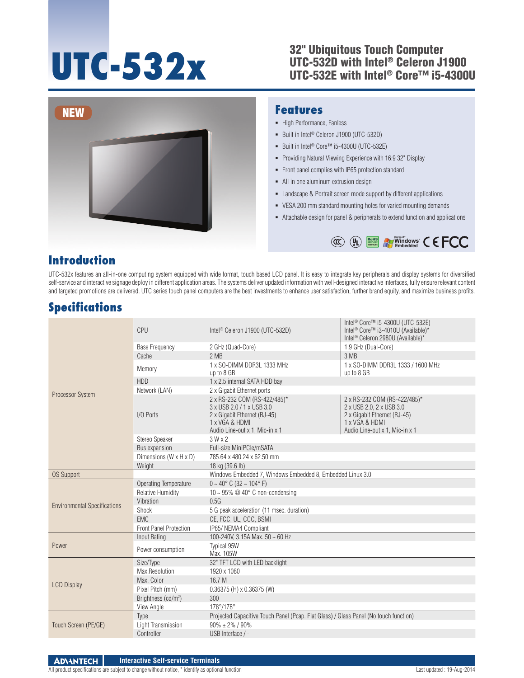## **UTC-532**<br>
UTC-532D with Intel® Celeron J<br>
UTC-532P with Intel® Core™ i5-UTC-532D with Intel® Celeron J1900 UTC-532E with Intel® Core™ i5-4300U



### **Features**

- High Performance, Fanless
- Built in Intel<sup>®</sup> Celeron J1900 (UTC-532D)
- Built in Intel<sup>®</sup> Core™ i5-4300U (UTC-532E)
- **Providing Natural Viewing Experience with 16:9 32" Display**
- Front panel complies with IP65 protection standard
- All in one aluminum extrusion design
- Landscape & Portrait screen mode support by different applications
- VESA 200 mm standard mounting holes for varied mounting demands
- Attachable design for panel & peripherals to extend function and applications



# **Introduction**

UTC-532x features an all-in-one computing system equipped with wide format, touch based LCD panel. It is easy to integrate key peripherals and display systems for diversified self-service and interactive signage deploy in different application areas. The systems deliver updated information with well-designed interactive interfaces, fully ensure relevant content and targeted promotions are delivered. UTC series touch panel computers are the best investments to enhance user satisfaction, further brand equity, and maximize business profits.

# **Specifications**

| <b>Processor System</b>                    | CPU                                  | Intel <sup>®</sup> Celeron J1900 (UTC-532D)                                                                                                   | Intel <sup>®</sup> Core™ i5-4300U (UTC-532E)<br>Intel <sup>®</sup> Core™ i3-4010U (Available)*<br>Intel <sup>®</sup> Celeron 2980U (Available)* |
|--------------------------------------------|--------------------------------------|-----------------------------------------------------------------------------------------------------------------------------------------------|-------------------------------------------------------------------------------------------------------------------------------------------------|
|                                            | <b>Base Frequency</b>                | 2 GHz (Quad-Core)                                                                                                                             | 1.9 GHz (Dual-Core)                                                                                                                             |
|                                            | Cache                                | 2MB                                                                                                                                           | 3 MB                                                                                                                                            |
|                                            | Memory                               | 1 x SO-DIMM DDR3L 1333 MHz<br>up to 8 GB                                                                                                      | 1 x SO-DIMM DDR3L 1333 / 1600 MHz<br>up to 8 GB                                                                                                 |
|                                            | <b>HDD</b>                           | 1 x 2.5 internal SATA HDD bay                                                                                                                 |                                                                                                                                                 |
|                                            | Network (LAN)                        | 2 x Gigabit Ethernet ports                                                                                                                    |                                                                                                                                                 |
|                                            | I/O Ports                            | 2 x RS-232 COM (RS-422/485)*<br>3 x USB 2.0 / 1 x USB 3.0<br>2 x Gigabit Ethernet (RJ-45)<br>1 x VGA & HDMI<br>Audio Line-out x 1, Mic-in x 1 | 2 x RS-232 COM (RS-422/485)*<br>2 x USB 2.0, 2 x USB 3.0<br>2 x Gigabit Ethernet (RJ-45)<br>1 x VGA & HDMI<br>Audio Line-out x 1, Mic-in x 1    |
|                                            | Stereo Speaker                       | 3Wx2                                                                                                                                          |                                                                                                                                                 |
|                                            | Bus expansion                        | Full-size MiniPCle/mSATA                                                                                                                      |                                                                                                                                                 |
|                                            | Dimensions ( $W \times H \times D$ ) | 785.64 x 480.24 x 62.50 mm                                                                                                                    |                                                                                                                                                 |
|                                            | Weight                               | 18 kg (39.6 lb)                                                                                                                               |                                                                                                                                                 |
| <b>OS Support</b>                          |                                      | Windows Embedded 7, Windows Embedded 8, Embedded Linux 3.0                                                                                    |                                                                                                                                                 |
| <b>Environmental Specifications</b>        | <b>Operating Temperature</b>         | $0 \sim 40^{\circ}$ C (32 ~ 104° F)                                                                                                           |                                                                                                                                                 |
|                                            | <b>Relative Humidity</b>             | 10 ~ 95% $@$ 40 $^{\circ}$ C non-condensing                                                                                                   |                                                                                                                                                 |
|                                            | Vibration                            | 0.5G                                                                                                                                          |                                                                                                                                                 |
|                                            | Shock                                | 5 G peak acceleration (11 msec. duration)                                                                                                     |                                                                                                                                                 |
|                                            | <b>EMC</b>                           | CE, FCC, UL, CCC, BSMI                                                                                                                        |                                                                                                                                                 |
|                                            | <b>Front Panel Protection</b>        | IP65/ NEMA4 Compliant                                                                                                                         |                                                                                                                                                 |
| Power                                      | Input Rating                         | 100-240V, 3.15A Max. 50 ~ 60 Hz                                                                                                               |                                                                                                                                                 |
|                                            | Power consumption                    | <b>Typical 95W</b><br>Max. 105W                                                                                                               |                                                                                                                                                 |
| <b>LCD Display</b><br>Touch Screen (PE/GE) | Size/Type                            | 32" TFT LCD with LED backlight                                                                                                                |                                                                                                                                                 |
|                                            | Max.Resolution                       | 1920 x 1080                                                                                                                                   |                                                                                                                                                 |
|                                            | Max. Color                           | 16.7 M                                                                                                                                        |                                                                                                                                                 |
|                                            | Pixel Pitch (mm)                     | 0.36375 (H) x 0.36375 (W)                                                                                                                     |                                                                                                                                                 |
|                                            | Brightness (cd/m <sup>2</sup> )      | 300                                                                                                                                           |                                                                                                                                                 |
|                                            | View Angle                           | 178°/178°                                                                                                                                     |                                                                                                                                                 |
|                                            | Type                                 | Projected Capacitive Touch Panel (Pcap. Flat Glass) / Glass Panel (No touch function)                                                         |                                                                                                                                                 |
|                                            | Light Transmission                   | $90\% \pm 2\%$ / 90%                                                                                                                          |                                                                                                                                                 |
|                                            | Controller                           | USB Interface / -                                                                                                                             |                                                                                                                                                 |

**ADVANTECH Interactive Self-service Terminals**